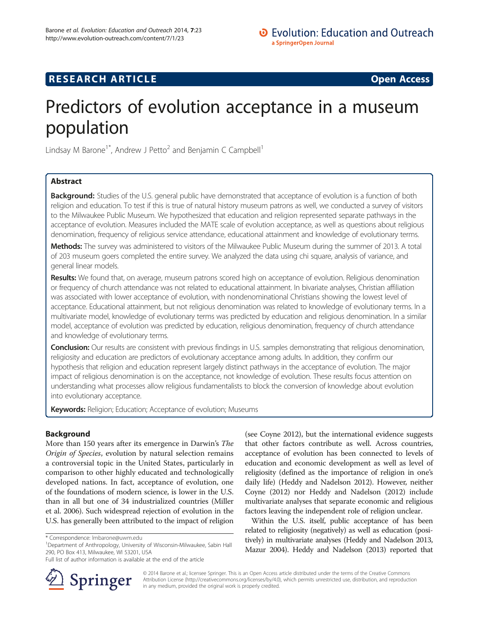# **RESEARCH ARTICLE Example 2014 12:30 The SEAR CH ACCESS**

# Predictors of evolution acceptance in a museum population

Lindsay M Barone<sup>1\*</sup>, Andrew J Petto<sup>2</sup> and Benjamin C Campbell<sup>1</sup>

# Abstract

**Background:** Studies of the U.S. general public have demonstrated that acceptance of evolution is a function of both religion and education. To test if this is true of natural history museum patrons as well, we conducted a survey of visitors to the Milwaukee Public Museum. We hypothesized that education and religion represented separate pathways in the acceptance of evolution. Measures included the MATE scale of evolution acceptance, as well as questions about religious denomination, frequency of religious service attendance, educational attainment and knowledge of evolutionary terms.

Methods: The survey was administered to visitors of the Milwaukee Public Museum during the summer of 2013. A total of 203 museum goers completed the entire survey. We analyzed the data using chi square, analysis of variance, and general linear models.

Results: We found that, on average, museum patrons scored high on acceptance of evolution. Religious denomination or frequency of church attendance was not related to educational attainment. In bivariate analyses, Christian affiliation was associated with lower acceptance of evolution, with nondenominational Christians showing the lowest level of acceptance. Educational attainment, but not religious denomination was related to knowledge of evolutionary terms. In a multivariate model, knowledge of evolutionary terms was predicted by education and religious denomination. In a similar model, acceptance of evolution was predicted by education, religious denomination, frequency of church attendance and knowledge of evolutionary terms.

**Conclusion:** Our results are consistent with previous findings in U.S. samples demonstrating that religious denomination, religiosity and education are predictors of evolutionary acceptance among adults. In addition, they confirm our hypothesis that religion and education represent largely distinct pathways in the acceptance of evolution. The major impact of religious denomination is on the acceptance, not knowledge of evolution. These results focus attention on understanding what processes allow religious fundamentalists to block the conversion of knowledge about evolution into evolutionary acceptance.

Keywords: Religion; Education; Acceptance of evolution; Museums

# Background

More than 150 years after its emergence in Darwin'<sup>s</sup> The Origin of Species, evolution by natural selection remains a controversial topic in the United States, particularly in comparison to other highly educated and technologically developed nations. In fact, acceptance of evolution, one of the foundations of modern science, is lower in the U.S. than in all but one of 34 industrialized countries (Miller et al. [2006](#page-10-0)). Such widespread rejection of evolution in the U.S. has generally been attributed to the impact of religion

Full list of author information is available at the end of the article



(see Coyne [2012\)](#page-10-0), but the international evidence suggests that other factors contribute as well. Across countries, acceptance of evolution has been connected to levels of education and economic development as well as level of religiosity (defined as the importance of religion in one's daily life) (Heddy and Nadelson [2012\)](#page-10-0). However, neither Coyne [\(2012\)](#page-10-0) nor Heddy and Nadelson ([2012](#page-10-0)) include multivariate analyses that separate economic and religious factors leaving the independent role of religion unclear.

Within the U.S. itself, public acceptance of has been related to religiosity (negatively) as well as education (positively) in multivariate analyses (Heddy and Nadelson [2013](#page-10-0), Mazur [2004](#page-10-0)). Heddy and Nadelson [\(2013](#page-10-0)) reported that

© 2014 Barone et al.; licensee Springer. This is an Open Access article distributed under the terms of the Creative Commons Attribution License [\(http://creativecommons.org/licenses/by/4.0\)](http://creativecommons.org/licenses/by/4.0), which permits unrestricted use, distribution, and reproduction in any medium, provided the original work is properly credited.

<sup>\*</sup> Correspondence: [lmbarone@uwm.edu](mailto:lmbarone@uwm.edu) <sup>1</sup>

<sup>&</sup>lt;sup>1</sup>Department of Anthropology, University of Wisconsin-Milwaukee, Sabin Hall 290, PO Box 413, Milwaukee, WI 53201, USA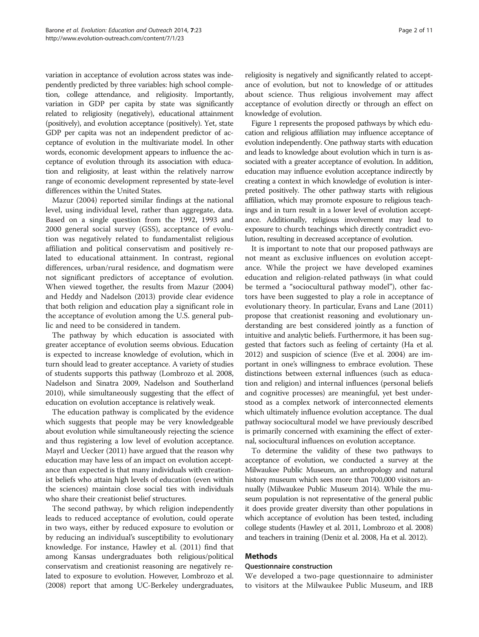variation in acceptance of evolution across states was independently predicted by three variables: high school completion, college attendance, and religiosity. Importantly, variation in GDP per capita by state was significantly related to religiosity (negatively), educational attainment (positively), and evolution acceptance (positively). Yet, state GDP per capita was not an independent predictor of acceptance of evolution in the multivariate model. In other words, economic development appears to influence the acceptance of evolution through its association with education and religiosity, at least within the relatively narrow range of economic development represented by state-level differences within the United States.

Mazur [\(2004\)](#page-10-0) reported similar findings at the national level, using individual level, rather than aggregate, data. Based on a single question from the 1992, 1993 and 2000 general social survey (GSS), acceptance of evolution was negatively related to fundamentalist religious affiliation and political conservatism and positively related to educational attainment. In contrast, regional differences, urban/rural residence, and dogmatism were not significant predictors of acceptance of evolution. When viewed together, the results from Mazur ([2004](#page-10-0)) and Heddy and Nadelson ([2013](#page-10-0)) provide clear evidence that both religion and education play a significant role in the acceptance of evolution among the U.S. general public and need to be considered in tandem.

The pathway by which education is associated with greater acceptance of evolution seems obvious. Education is expected to increase knowledge of evolution, which in turn should lead to greater acceptance. A variety of studies of students supports this pathway (Lombrozo et al. [2008](#page-10-0), Nadelson and Sinatra [2009,](#page-10-0) Nadelson and Southerland [2010\)](#page-10-0), while simultaneously suggesting that the effect of education on evolution acceptance is relatively weak.

The education pathway is complicated by the evidence which suggests that people may be very knowledgeable about evolution while simultaneously rejecting the science and thus registering a low level of evolution acceptance. Mayrl and Uecker [\(2011](#page-10-0)) have argued that the reason why education may have less of an impact on evolution acceptance than expected is that many individuals with creationist beliefs who attain high levels of education (even within the sciences) maintain close social ties with individuals who share their creationist belief structures.

The second pathway, by which religion independently leads to reduced acceptance of evolution, could operate in two ways, either by reduced exposure to evolution or by reducing an individual's susceptibility to evolutionary knowledge. For instance, Hawley et al. [\(2011\)](#page-10-0) find that among Kansas undergraduates both religious/political conservatism and creationist reasoning are negatively related to exposure to evolution. However, Lombrozo et al. ([2008](#page-10-0)) report that among UC-Berkeley undergraduates, religiosity is negatively and significantly related to acceptance of evolution, but not to knowledge of or attitudes about science. Thus religious involvement may affect acceptance of evolution directly or through an effect on knowledge of evolution.

Figure [1](#page-2-0) represents the proposed pathways by which education and religious affiliation may influence acceptance of evolution independently. One pathway starts with education and leads to knowledge about evolution which in turn is associated with a greater acceptance of evolution. In addition, education may influence evolution acceptance indirectly by creating a context in which knowledge of evolution is interpreted positively. The other pathway starts with religious affiliation, which may promote exposure to religious teachings and in turn result in a lower level of evolution acceptance. Additionally, religious involvement may lead to exposure to church teachings which directly contradict evolution, resulting in decreased acceptance of evolution.

It is important to note that our proposed pathways are not meant as exclusive influences on evolution acceptance. While the project we have developed examines education and religion-related pathways (in what could be termed a "sociocultural pathway model"), other factors have been suggested to play a role in acceptance of evolutionary theory. In particular, Evans and Lane ([2011](#page-10-0)) propose that creationist reasoning and evolutionary understanding are best considered jointly as a function of intuitive and analytic beliefs. Furthermore, it has been suggested that factors such as feeling of certainty (Ha et al. [2012](#page-10-0)) and suspicion of science (Eve et al. [2004](#page-10-0)) are important in one's willingness to embrace evolution. These distinctions between external influences (such as education and religion) and internal influences (personal beliefs and cognitive processes) are meaningful, yet best understood as a complex network of interconnected elements which ultimately influence evolution acceptance. The dual pathway sociocultural model we have previously described is primarily concerned with examining the effect of external, sociocultural influences on evolution acceptance.

To determine the validity of these two pathways to acceptance of evolution, we conducted a survey at the Milwaukee Public Museum, an anthropology and natural history museum which sees more than 700,000 visitors annually (Milwaukee Public Museum [2014\)](#page-10-0). While the museum population is not representative of the general public it does provide greater diversity than other populations in which acceptance of evolution has been tested, including college students (Hawley et al. [2011](#page-10-0), Lombrozo et al. [2008](#page-10-0)) and teachers in training (Deniz et al. [2008](#page-10-0), Ha et al. [2012\)](#page-10-0).

# Methods

## Questionnaire construction

We developed a two-page questionnaire to administer to visitors at the Milwaukee Public Museum, and IRB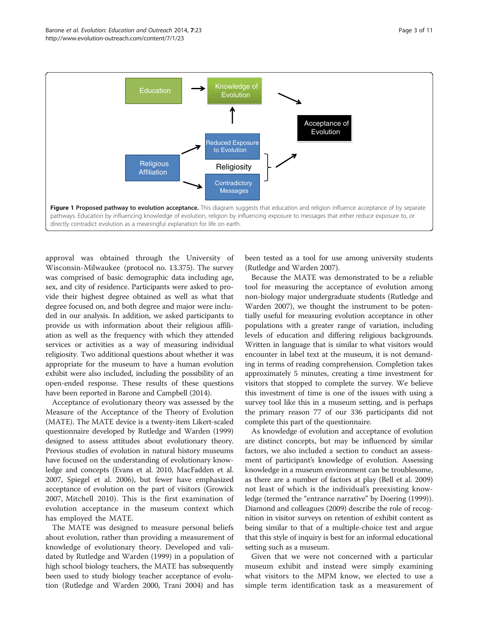<span id="page-2-0"></span>

approval was obtained through the University of Wisconsin-Milwaukee (protocol no. 13.375). The survey was comprised of basic demographic data including age, sex, and city of residence. Participants were asked to provide their highest degree obtained as well as what that degree focused on, and both degree and major were included in our analysis. In addition, we asked participants to provide us with information about their religious affiliation as well as the frequency with which they attended services or activities as a way of measuring individual religiosity. Two additional questions about whether it was appropriate for the museum to have a human evolution exhibit were also included, including the possibility of an open-ended response. These results of these questions have been reported in Barone and Campbell ([2014](#page-10-0)).

Acceptance of evolutionary theory was assessed by the Measure of the Acceptance of the Theory of Evolution (MATE). The MATE device is a twenty-item Likert-scaled questionnaire developed by Rutledge and Warden [\(1999](#page-10-0)) designed to assess attitudes about evolutionary theory. Previous studies of evolution in natural history museums have focused on the understanding of evolutionary knowledge and concepts (Evans et al. [2010](#page-10-0), MacFadden et al. [2007,](#page-10-0) Spiegel et al. [2006](#page-10-0)), but fewer have emphasized acceptance of evolution on the part of visitors (Growick [2007,](#page-10-0) Mitchell [2010](#page-10-0)). This is the first examination of evolution acceptance in the museum context which has employed the MATE.

The MATE was designed to measure personal beliefs about evolution, rather than providing a measurement of knowledge of evolutionary theory. Developed and validated by Rutledge and Warden ([1999\)](#page-10-0) in a population of high school biology teachers, the MATE has subsequently been used to study biology teacher acceptance of evolution (Rutledge and Warden [2000,](#page-10-0) Trani [2004\)](#page-10-0) and has been tested as a tool for use among university students (Rutledge and Warden [2007](#page-10-0)).

Because the MATE was demonstrated to be a reliable tool for measuring the acceptance of evolution among non-biology major undergraduate students (Rutledge and Warden [2007\)](#page-10-0), we thought the instrument to be potentially useful for measuring evolution acceptance in other populations with a greater range of variation, including levels of education and differing religious backgrounds. Written in language that is similar to what visitors would encounter in label text at the museum, it is not demanding in terms of reading comprehension. Completion takes approximately 5 minutes, creating a time investment for visitors that stopped to complete the survey. We believe this investment of time is one of the issues with using a survey tool like this in a museum setting, and is perhaps the primary reason 77 of our 336 participants did not complete this part of the questionnaire.

As knowledge of evolution and acceptance of evolution are distinct concepts, but may be influenced by similar factors, we also included a section to conduct an assessment of participant's knowledge of evolution. Assessing knowledge in a museum environment can be troublesome, as there are a number of factors at play (Bell et al. [2009](#page-10-0)) not least of which is the individual's preexisting knowledge (termed the "entrance narrative" by Doering [\(1999](#page-10-0))). Diamond and colleagues ([2009\)](#page-10-0) describe the role of recognition in visitor surveys on retention of exhibit content as being similar to that of a multiple-choice test and argue that this style of inquiry is best for an informal educational setting such as a museum.

Given that we were not concerned with a particular museum exhibit and instead were simply examining what visitors to the MPM know, we elected to use a simple term identification task as a measurement of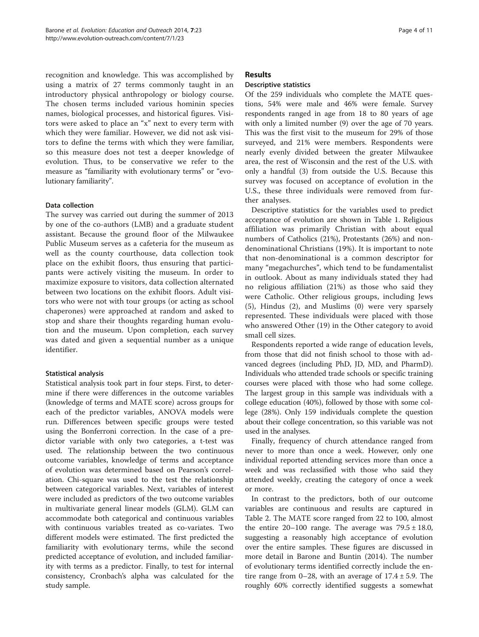recognition and knowledge. This was accomplished by using a matrix of 27 terms commonly taught in an introductory physical anthropology or biology course. The chosen terms included various hominin species names, biological processes, and historical figures. Visitors were asked to place an "x" next to every term with which they were familiar. However, we did not ask visitors to define the terms with which they were familiar, so this measure does not test a deeper knowledge of evolution. Thus, to be conservative we refer to the measure as "familiarity with evolutionary terms" or "evolutionary familiarity".

# Data collection

The survey was carried out during the summer of 2013 by one of the co-authors (LMB) and a graduate student assistant. Because the ground floor of the Milwaukee Public Museum serves as a cafeteria for the museum as well as the county courthouse, data collection took place on the exhibit floors, thus ensuring that participants were actively visiting the museum. In order to maximize exposure to visitors, data collection alternated between two locations on the exhibit floors. Adult visitors who were not with tour groups (or acting as school chaperones) were approached at random and asked to stop and share their thoughts regarding human evolution and the museum. Upon completion, each survey was dated and given a sequential number as a unique identifier.

# Statistical analysis

Statistical analysis took part in four steps. First, to determine if there were differences in the outcome variables (knowledge of terms and MATE score) across groups for each of the predictor variables, ANOVA models were run. Differences between specific groups were tested using the Bonferroni correction. In the case of a predictor variable with only two categories, a t-test was used. The relationship between the two continuous outcome variables, knowledge of terms and acceptance of evolution was determined based on Pearson's correlation. Chi-square was used to the test the relationship between categorical variables. Next, variables of interest were included as predictors of the two outcome variables in multivariate general linear models (GLM). GLM can accommodate both categorical and continuous variables with continuous variables treated as co-variates. Two different models were estimated. The first predicted the familiarity with evolutionary terms, while the second predicted acceptance of evolution, and included familiarity with terms as a predictor. Finally, to test for internal consistency, Cronbach's alpha was calculated for the study sample.

# **Results**

# Descriptive statistics

Of the 259 individuals who complete the MATE questions, 54% were male and 46% were female. Survey respondents ranged in age from 18 to 80 years of age with only a limited number (9) over the age of 70 years. This was the first visit to the museum for 29% of those surveyed, and 21% were members. Respondents were nearly evenly divided between the greater Milwaukee area, the rest of Wisconsin and the rest of the U.S. with only a handful (3) from outside the U.S. Because this survey was focused on acceptance of evolution in the U.S., these three individuals were removed from further analyses.

Descriptive statistics for the variables used to predict acceptance of evolution are shown in Table [1.](#page-4-0) Religious affiliation was primarily Christian with about equal numbers of Catholics (21%), Protestants (26%) and nondenominational Christians (19%). It is important to note that non-denominational is a common descriptor for many "megachurches", which tend to be fundamentalist in outlook. About as many individuals stated they had no religious affiliation (21%) as those who said they were Catholic. Other religious groups, including Jews (5), Hindus (2), and Muslims (0) were very sparsely represented. These individuals were placed with those who answered Other (19) in the Other category to avoid small cell sizes.

Respondents reported a wide range of education levels, from those that did not finish school to those with advanced degrees (including PhD, JD, MD, and PharmD). Individuals who attended trade schools or specific training courses were placed with those who had some college. The largest group in this sample was individuals with a college education (40%), followed by those with some college (28%). Only 159 individuals complete the question about their college concentration, so this variable was not used in the analyses.

Finally, frequency of church attendance ranged from never to more than once a week. However, only one individual reported attending services more than once a week and was reclassified with those who said they attended weekly, creating the category of once a week or more.

In contrast to the predictors, both of our outcome variables are continuous and results are captured in Table [2.](#page-4-0) The MATE score ranged from 22 to 100, almost the entire 20–100 range. The average was  $79.5 \pm 18.0$ , suggesting a reasonably high acceptance of evolution over the entire samples. These figures are discussed in more detail in Barone and Buntin ([2014](#page-10-0)). The number of evolutionary terms identified correctly include the entire range from 0–28, with an average of  $17.4 \pm 5.9$ . The roughly 60% correctly identified suggests a somewhat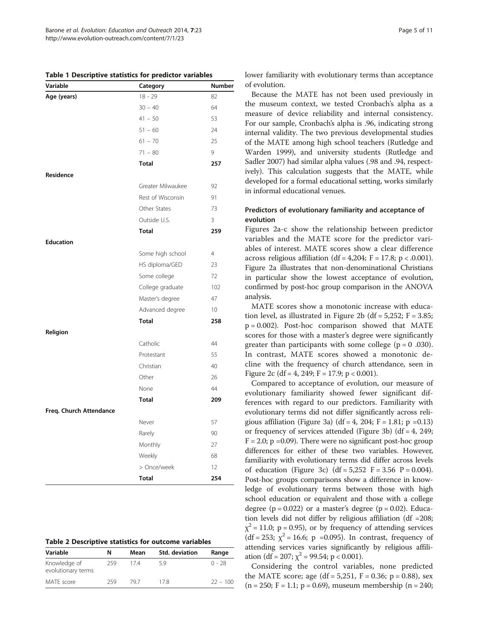<span id="page-4-0"></span>Table 1 Descriptive statistics for predictor variables

| Variable                | Category          | Number         |
|-------------------------|-------------------|----------------|
| Age (years)             | $18 - 29$         | 82             |
|                         | $30 - 40$         | 64             |
|                         | $41 - 50$         | 53             |
|                         | $51 - 60$         | 24             |
|                         | $61 - 70$         | 25             |
|                         | $71 - 80$         | 9              |
|                         | <b>Total</b>      | 257            |
| Residence               |                   |                |
|                         | Greater Milwaukee | 92             |
|                         | Rest of Wisconsin | 91             |
|                         | Other States      | 73             |
|                         | Outside U.S.      | 3              |
|                         | <b>Total</b>      | 259            |
| <b>Education</b>        |                   |                |
|                         | Some high school  | $\overline{4}$ |
|                         | HS diploma/GED    | 23             |
|                         | Some college      | 72             |
|                         | College graduate  | 102            |
|                         | Master's degree   | 47             |
|                         | Advanced degree   | 10             |
|                         | <b>Total</b>      | 258            |
| Religion                |                   |                |
|                         | Catholic          | 44             |
|                         | Protestant        | 55             |
|                         | Christian         | 40             |
|                         | Other             | 26             |
|                         | None              | 44             |
|                         | <b>Total</b>      | 209            |
| Freq. Church Attendance |                   |                |
|                         | Never             | 57             |
|                         | Rarely            | 90             |
|                         | Monthly           | 27             |
|                         | Weekly            | 68             |
|                         | > Once/week       | 12             |
|                         | <b>Total</b>      | 254            |

| Table 2 Descriptive statistics for outcome variables |  |  |  |  |
|------------------------------------------------------|--|--|--|--|
|------------------------------------------------------|--|--|--|--|

| Variable                           | Ν   | Mean | Std. deviation | Range      |
|------------------------------------|-----|------|----------------|------------|
| Knowledge of<br>evolutionary terms | 259 | 174  | 59             | $0 - 28$   |
| MATE score                         | 259 | 79 7 | 178            | $22 - 100$ |

lower familiarity with evolutionary terms than acceptance of evolution.

Because the MATE has not been used previously in the museum context, we tested Cronbach's alpha as a measure of device reliability and internal consistency. For our sample, Cronbach's alpha is .96, indicating strong internal validity. The two previous developmental studies of the MATE among high school teachers (Rutledge and Warden [1999\)](#page-10-0), and university students (Rutledge and Sadler [2007](#page-10-0)) had similar alpha values (.98 and .94, respectively). This calculation suggests that the MATE, while developed for a formal educational setting, works similarly in informal educational venues.

# Predictors of evolutionary familiarity and acceptance of evolution

Figures [2a](#page-6-0)-c show the relationship between predictor variables and the MATE score for the predictor variables of interest. MATE scores show a clear difference across religious affiliation (df = 4,204; F = 17.8; p < .0.001). Figure [2](#page-6-0)a illustrates that non-denominational Christians in particular show the lowest acceptance of evolution, confirmed by post-hoc group comparison in the ANOVA analysis.

MATE scores show a monotonic increase with educa-tion level, as illustrated in Figure [2b](#page-6-0) (df =  $5,252$ ; F =  $3.85$ ; p = 0.002). Post-hoc comparison showed that MATE scores for those with a master's degree were significantly greater than participants with some college ( $p = 0.030$ ). In contrast, MATE scores showed a monotonic decline with the frequency of church attendance, seen in Figure [2](#page-6-0)c (df = 4, 249;  $F = 17.9$ ;  $p < 0.001$ ).

Compared to acceptance of evolution, our measure of evolutionary familiarity showed fewer significant differences with regard to our predictors. Familiarity with evolutionary terms did not differ significantly across reli-gious affiliation (Figure [3a](#page-8-0)) (df = 4, 204; F = 1.81; p = 0.13) or frequency of services attended (Figure [3b](#page-8-0)) ( $df = 4$ , 249;  $F = 2.0$ ; p = 0.09). There were no significant post-hoc group differences for either of these two variables. However, familiarity with evolutionary terms did differ across levels of education (Figure [3c](#page-8-0)) (df =  $5,252$  F =  $3.56$  P = 0.004). Post-hoc groups comparisons show a difference in knowledge of evolutionary terms between those with high school education or equivalent and those with a college degree ( $p = 0.022$ ) or a master's degree ( $p = 0.02$ ). Education levels did not differ by religious affiliation (df =208;  $\chi^2$  = 11.0; p = 0.95), or by frequency of attending services (df = 253;  $\chi^2$  = 16.6; p = 0.095). In contrast, frequency of attending services varies significantly by religious affiliation (df = 207;  $\chi^2$  = 99.54; p < 0.001).

Considering the control variables, none predicted the MATE score; age  $(df = 5,251, F = 0.36; p = 0.88)$ , sex  $(n = 250; F = 1.1; p = 0.69)$ , museum membership  $(n = 240;$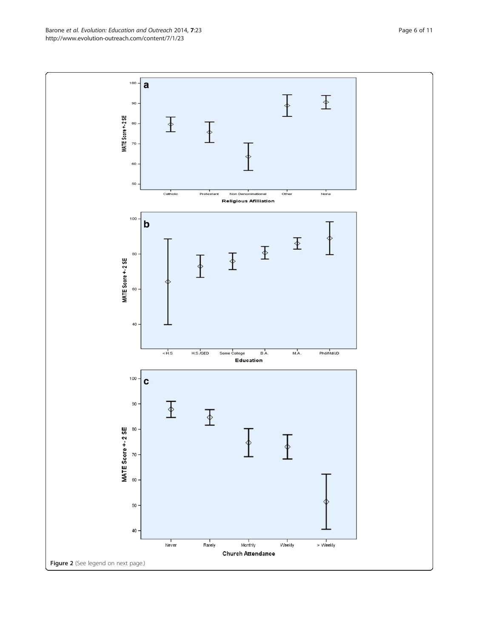Barone et al. Evolution: Education and Outreach 2014, 7:23 Page 6 of 11 http://www.evolution-outreach.com/content/7/1/23

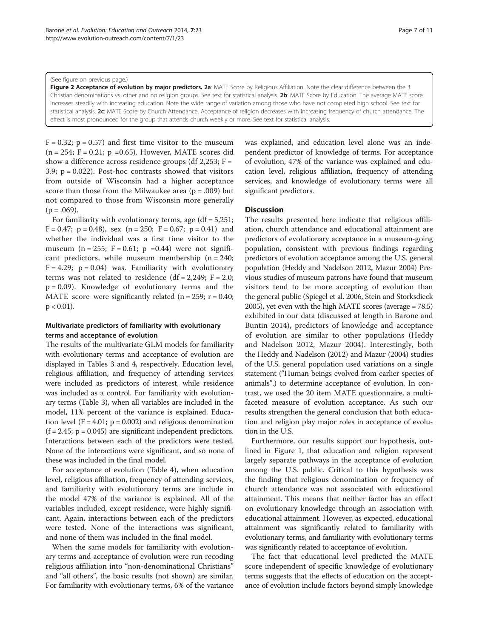#### <span id="page-6-0"></span>(See figure on previous page.)

Figure 2 Acceptance of evolution by major predictors. 2a: MATE Score by Religious Affiliation. Note the clear difference between the 3 Christian denominations vs. other and no religion groups. See text for statistical analysis. 2b: MATE Score by Education. The average MATE score increases steadily with increasing education. Note the wide range of variation among those who have not completed high school. See text for statistical analysis. 2c: MATE Score by Church Attendance. Acceptance of religion decreases with increasing frequency of church attendance. The effect is most pronounced for the group that attends church weekly or more. See text for statistical analysis.

 $F = 0.32$ ;  $p = 0.57$ ) and first time visitor to the museum  $(n = 254; F = 0.21; p = 0.65)$ . However, MATE scores did show a difference across residence groups (df 2,253;  $F =$ 3.9;  $p = 0.022$ ). Post-hoc contrasts showed that visitors from outside of Wisconsin had a higher acceptance score than those from the Milwaukee area ( $p = .009$ ) but not compared to those from Wisconsin more generally  $(p = .069)$ .

For familiarity with evolutionary terms, age  $(df = 5,251;$  $F = 0.47$ ;  $p = 0.48$ ), sex  $(n = 250$ ;  $F = 0.67$ ;  $p = 0.41$ ) and whether the individual was a first time visitor to the museum (n = 255;  $F = 0.61$ ; p = 0.44) were not significant predictors, while museum membership  $(n = 240;$  $F = 4.29$ ;  $p = 0.04$ ) was. Familiarity with evolutionary terms was not related to residence  $(df = 2,249; F = 2.0;$  $p = 0.09$ ). Knowledge of evolutionary terms and the MATE score were significantly related ( $n = 259$ ;  $r = 0.40$ ;  $p < 0.01$ ).

# Multivariate predictors of familiarity with evolutionary terms and acceptance of evolution

The results of the multivariate GLM models for familiarity with evolutionary terms and acceptance of evolution are displayed in Tables [3](#page-8-0) and [4,](#page-8-0) respectively. Education level, religious affiliation, and frequency of attending services were included as predictors of interest, while residence was included as a control. For familiarity with evolutionary terms (Table [3\)](#page-8-0), when all variables are included in the model, 11% percent of the variance is explained. Education level  $(F = 4.01; p = 0.002)$  and religious denomination  $(f = 2.45; p = 0.045)$  are significant independent predictors. Interactions between each of the predictors were tested. None of the interactions were significant, and so none of these was included in the final model.

For acceptance of evolution (Table [4\)](#page-8-0), when education level, religious affiliation, frequency of attending services, and familiarity with evolutionary terms are include in the model 47% of the variance is explained. All of the variables included, except residence, were highly significant. Again, interactions between each of the predictors were tested. None of the interactions was significant, and none of them was included in the final model.

When the same models for familiarity with evolutionary terms and acceptance of evolution were run recoding religious affiliation into "non-denominational Christians" and "all others", the basic results (not shown) are similar. For familiarity with evolutionary terms, 6% of the variance was explained, and education level alone was an independent predictor of knowledge of terms. For acceptance of evolution, 47% of the variance was explained and education level, religious affiliation, frequency of attending services, and knowledge of evolutionary terms were all significant predictors.

#### **Discussion**

The results presented here indicate that religious affiliation, church attendance and educational attainment are predictors of evolutionary acceptance in a museum-going population, consistent with previous findings regarding predictors of evolution acceptance among the U.S. general population (Heddy and Nadelson [2012,](#page-10-0) Mazur [2004](#page-10-0)) Previous studies of museum patrons have found that museum visitors tend to be more accepting of evolution than the general public (Spiegel et al. [2006,](#page-10-0) Stein and Storksdieck [2005\)](#page-10-0), yet even with the high MATE scores (average = 78.5) exhibited in our data (discussed at length in Barone and Buntin [2014](#page-10-0)), predictors of knowledge and acceptance of evolution are similar to other populations (Heddy and Nadelson [2012](#page-10-0), Mazur [2004](#page-10-0)). Interestingly, both the Heddy and Nadelson ([2012\)](#page-10-0) and Mazur ([2004\)](#page-10-0) studies of the U.S. general population used variations on a single statement ("Human beings evolved from earlier species of animals".) to determine acceptance of evolution. In contrast, we used the 20 item MATE questionnaire, a multifaceted measure of evolution acceptance. As such our results strengthen the general conclusion that both education and religion play major roles in acceptance of evolution in the U.S.

Furthermore, our results support our hypothesis, outlined in Figure [1,](#page-2-0) that education and religion represent largely separate pathways in the acceptance of evolution among the U.S. public. Critical to this hypothesis was the finding that religious denomination or frequency of church attendance was not associated with educational attainment. This means that neither factor has an effect on evolutionary knowledge through an association with educational attainment. However, as expected, educational attainment was significantly related to familiarity with evolutionary terms, and familiarity with evolutionary terms was significantly related to acceptance of evolution.

The fact that educational level predicted the MATE score independent of specific knowledge of evolutionary terms suggests that the effects of education on the acceptance of evolution include factors beyond simply knowledge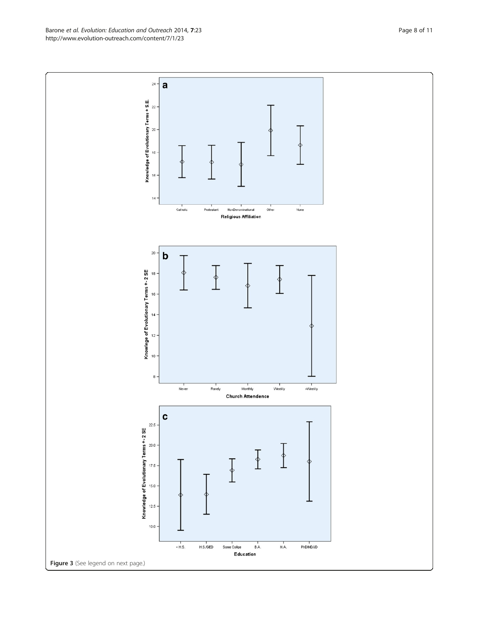Barone et al. Evolution: Education and Outreach 2014, 7:23 Page 8 of 11 http://www.evolution-outreach.com/content/7/1/23

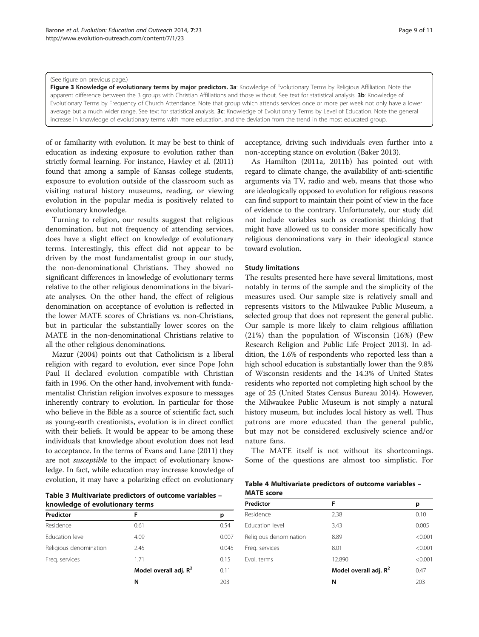#### <span id="page-8-0"></span>(See figure on previous page.)

Figure 3 Knowledge of evolutionary terms by major predictors. 3a: Knowledge of Evolutionary Terms by Religious Affiliation. Note the apparent difference between the 3 groups with Christian Affiliations and those without. See text for statistical analysis. 3b: Knowledge of Evolutionary Terms by Frequency of Church Attendance. Note that group which attends services once or more per week not only have a lower average but a much wider range. See text for statistical analysis. 3c: Knowledge of Evolutionary Terms by Level of Education. Note the general increase in knowledge of evolutionary terms with more education, and the deviation from the trend in the most educated group.

of or familiarity with evolution. It may be best to think of education as indexing exposure to evolution rather than strictly formal learning. For instance, Hawley et al. [\(2011](#page-10-0)) found that among a sample of Kansas college students, exposure to evolution outside of the classroom such as visiting natural history museums, reading, or viewing evolution in the popular media is positively related to evolutionary knowledge.

Turning to religion, our results suggest that religious denomination, but not frequency of attending services, does have a slight effect on knowledge of evolutionary terms. Interestingly, this effect did not appear to be driven by the most fundamentalist group in our study, the non-denominational Christians. They showed no significant differences in knowledge of evolutionary terms relative to the other religious denominations in the bivariate analyses. On the other hand, the effect of religious denomination on acceptance of evolution is reflected in the lower MATE scores of Christians vs. non-Christians, but in particular the substantially lower scores on the MATE in the non-denominational Christians relative to all the other religious denominations.

Mazur ([2004](#page-10-0)) points out that Catholicism is a liberal religion with regard to evolution, ever since Pope John Paul II declared evolution compatible with Christian faith in 1996. On the other hand, involvement with fundamentalist Christian religion involves exposure to messages inherently contrary to evolution. In particular for those who believe in the Bible as a source of scientific fact, such as young-earth creationists, evolution is in direct conflict with their beliefs. It would be appear to be among these individuals that knowledge about evolution does not lead to acceptance. In the terms of Evans and Lane [\(2011\)](#page-10-0) they are not susceptible to the impact of evolutionary knowledge. In fact, while education may increase knowledge of evolution, it may have a polarizing effect on evolutionary

Table 3 Multivariate predictors of outcome variables – knowledge of evolutionary terms

| Predictor              | F                        | p     |
|------------------------|--------------------------|-------|
| Residence              | 0.61                     | 0.54  |
| <b>Fducation level</b> | 4.09                     | 0.007 |
| Religious denomination | 2.45                     | 0.045 |
| Freg. services         | 1.71                     | 0.15  |
|                        | Model overall adj. $R^2$ | 0.11  |
|                        | N                        | 203   |
|                        |                          |       |

acceptance, driving such individuals even further into a non-accepting stance on evolution (Baker [2013](#page-10-0)).

As Hamilton ([2011a](#page-10-0), [2011b\)](#page-10-0) has pointed out with regard to climate change, the availability of anti-scientific arguments via TV, radio and web, means that those who are ideologically opposed to evolution for religious reasons can find support to maintain their point of view in the face of evidence to the contrary. Unfortunately, our study did not include variables such as creationist thinking that might have allowed us to consider more specifically how religious denominations vary in their ideological stance toward evolution.

# Study limitations

The results presented here have several limitations, most notably in terms of the sample and the simplicity of the measures used. Our sample size is relatively small and represents visitors to the Milwaukee Public Museum, a selected group that does not represent the general public. Our sample is more likely to claim religious affiliation (21%) than the population of Wisconsin (16%) (Pew Research Religion and Public Life Project [2013\)](#page-10-0). In addition, the 1.6% of respondents who reported less than a high school education is substantially lower than the 9.8% of Wisconsin residents and the 14.3% of United States residents who reported not completing high school by the age of 25 (United States Census Bureau [2014](#page-10-0)). However, the Milwaukee Public Museum is not simply a natural history museum, but includes local history as well. Thus patrons are more educated than the general public, but may not be considered exclusively science and/or nature fans.

The MATE itself is not without its shortcomings. Some of the questions are almost too simplistic. For

| Table 4 Multivariate predictors of outcome variables - |  |  |
|--------------------------------------------------------|--|--|
| <b>MATE</b> score                                      |  |  |

| Predictor              | F                        | р       |
|------------------------|--------------------------|---------|
| Residence              | 2.38                     | 0.10    |
| <b>Education level</b> | 3.43                     | 0.005   |
| Religious denomination | 8.89                     | < 0.001 |
| Freg. services         | 8.01                     | < 0.001 |
| Fvol. terms            | 12.890                   | < 0.001 |
|                        | Model overall adj. $R^2$ | 0.47    |
|                        | N                        | 203     |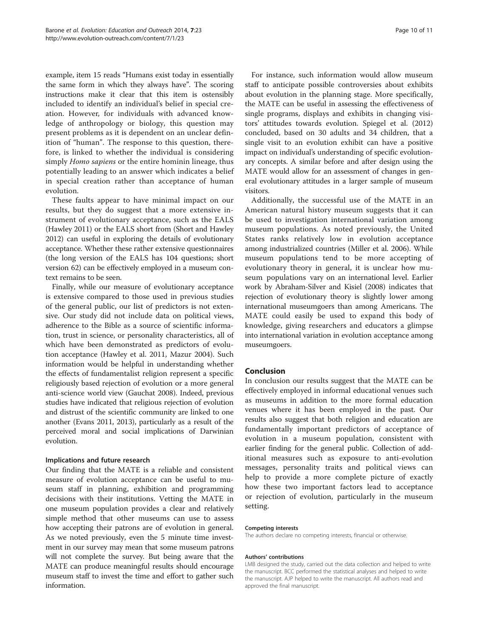example, item 15 reads "Humans exist today in essentially the same form in which they always have". The scoring instructions make it clear that this item is ostensibly included to identify an individual's belief in special creation. However, for individuals with advanced knowledge of anthropology or biology, this question may present problems as it is dependent on an unclear definition of "human". The response to this question, therefore, is linked to whether the individual is considering simply Homo sapiens or the entire hominin lineage, thus potentially leading to an answer which indicates a belief in special creation rather than acceptance of human evolution.

These faults appear to have minimal impact on our results, but they do suggest that a more extensive instrument of evolutionary acceptance, such as the EALS (Hawley [2011](#page-10-0)) or the EALS short from (Short and Hawley [2012\)](#page-10-0) can useful in exploring the details of evolutionary acceptance. Whether these rather extensive questionnaires (the long version of the EALS has 104 questions; short version 62) can be effectively employed in a museum context remains to be seen.

Finally, while our measure of evolutionary acceptance is extensive compared to those used in previous studies of the general public, our list of predictors is not extensive. Our study did not include data on political views, adherence to the Bible as a source of scientific information, trust in science, or personality characteristics, all of which have been demonstrated as predictors of evolution acceptance (Hawley et al. [2011,](#page-10-0) Mazur [2004\)](#page-10-0). Such information would be helpful in understanding whether the effects of fundamentalist religion represent a specific religiously based rejection of evolution or a more general anti-science world view (Gauchat [2008](#page-10-0)). Indeed, previous studies have indicated that religious rejection of evolution and distrust of the scientific community are linked to one another (Evans [2011, 2013](#page-10-0)), particularly as a result of the perceived moral and social implications of Darwinian evolution.

## Implications and future research

Our finding that the MATE is a reliable and consistent measure of evolution acceptance can be useful to museum staff in planning, exhibition and programming decisions with their institutions. Vetting the MATE in one museum population provides a clear and relatively simple method that other museums can use to assess how accepting their patrons are of evolution in general. As we noted previously, even the 5 minute time investment in our survey may mean that some museum patrons will not complete the survey. But being aware that the MATE can produce meaningful results should encourage museum staff to invest the time and effort to gather such information.

For instance, such information would allow museum staff to anticipate possible controversies about exhibits about evolution in the planning stage. More specifically, the MATE can be useful in assessing the effectiveness of single programs, displays and exhibits in changing visitors' attitudes towards evolution. Spiegel et al. ([2012](#page-10-0)) concluded, based on 30 adults and 34 children, that a single visit to an evolution exhibit can have a positive impact on individual's understanding of specific evolutionary concepts. A similar before and after design using the MATE would allow for an assessment of changes in general evolutionary attitudes in a larger sample of museum visitors.

Additionally, the successful use of the MATE in an American natural history museum suggests that it can be used to investigation international variation among museum populations. As noted previously, the United States ranks relatively low in evolution acceptance among industrialized countries (Miller et al. [2006\)](#page-10-0). While museum populations tend to be more accepting of evolutionary theory in general, it is unclear how museum populations vary on an international level. Earlier work by Abraham-Silver and Kisiel [\(2008](#page-10-0)) indicates that rejection of evolutionary theory is slightly lower among international museumgoers than among Americans. The MATE could easily be used to expand this body of knowledge, giving researchers and educators a glimpse into international variation in evolution acceptance among museumgoers.

# Conclusion

In conclusion our results suggest that the MATE can be effectively employed in informal educational venues such as museums in addition to the more formal education venues where it has been employed in the past. Our results also suggest that both religion and education are fundamentally important predictors of acceptance of evolution in a museum population, consistent with earlier finding for the general public. Collection of additional measures such as exposure to anti-evolution messages, personality traits and political views can help to provide a more complete picture of exactly how these two important factors lead to acceptance or rejection of evolution, particularly in the museum setting.

#### Competing interests

The authors declare no competing interests, financial or otherwise.

#### Authors' contributions

LMB designed the study, carried out the data collection and helped to write the manuscript. BCC performed the statistical analyses and helped to write the manuscript. AJP helped to write the manuscript. All authors read and approved the final manuscript.